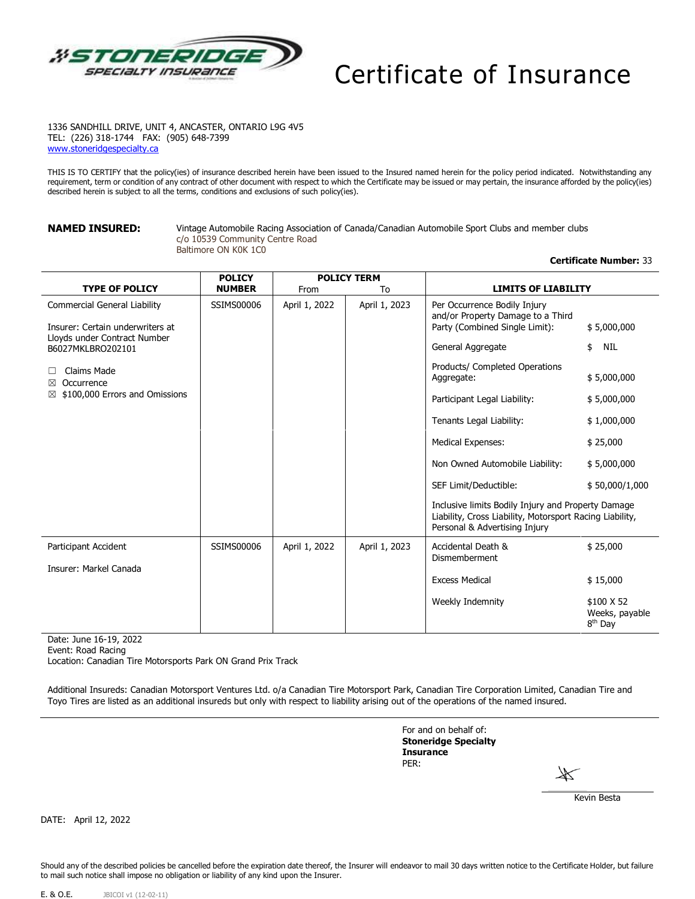

# Certificate of Insurance

1336 SANDHILL DRIVE, UNIT 4, ANCASTER, ONTARIO L9G 4V5 TEL: (226) 318-1744 FAX: (905) 648-7399 [www.stoneridgespecialty.ca](http://www.stoneridgespecialty.ca/)

THIS IS TO CERTIFY that the policy(ies) of insurance described herein have been issued to the Insured named herein for the policy period indicated. Notwithstanding any requirement, term or condition of any contract of other document with respect to which the Certificate may be issued or may pertain, the insurance afforded by the policy(ies) described herein is subject to all the terms, conditions and exclusions of such policy(ies).

**NAMED INSURED:** Vintage Automobile Racing Association of Canada/Canadian Automobile Sport Clubs and member clubs c/o 10539 Community Centre Road Baltimore ON K0K 1C0

# <span id="page-0-3"></span><span id="page-0-0"></span>**Certificate Number:** 33

<span id="page-0-2"></span><span id="page-0-1"></span>

|                                                                                                                              | <b>POLICY</b> | <b>POLICY TERM</b> |               |                                                                                                                          |                                                                                                                |  |
|------------------------------------------------------------------------------------------------------------------------------|---------------|--------------------|---------------|--------------------------------------------------------------------------------------------------------------------------|----------------------------------------------------------------------------------------------------------------|--|
| <b>TYPE OF POLICY</b>                                                                                                        | <b>NUMBER</b> | From               | To            | <b>LIMITS OF LIABILITY</b>                                                                                               |                                                                                                                |  |
| <b>Commercial General Liability</b><br>Insurer: Certain underwriters at<br>Lloyds under Contract Number<br>B6027MKLBRO202101 | SSIMS00006    | April 1, 2022      | April 1, 2023 | Per Occurrence Bodily Injury<br>and/or Property Damage to a Third<br>Party (Combined Single Limit):<br>General Aggregate | \$5,000,000<br>NIL<br>\$                                                                                       |  |
| Claims Made<br>$\perp$<br>Occurrence<br>⊠<br>\$100,000 Errors and Omissions<br>⊠                                             |               |                    |               | Products/ Completed Operations<br>Aggregate:                                                                             | \$5,000,000                                                                                                    |  |
|                                                                                                                              |               |                    |               | Participant Legal Liability:<br>Tenants Legal Liability:                                                                 | \$5,000,000<br>\$1,000,000                                                                                     |  |
|                                                                                                                              |               |                    |               | <b>Medical Expenses:</b>                                                                                                 | \$25,000                                                                                                       |  |
|                                                                                                                              |               |                    |               | Non Owned Automobile Liability:                                                                                          | \$5,000,000                                                                                                    |  |
|                                                                                                                              |               |                    |               | SEF Limit/Deductible:                                                                                                    | \$50,000/1,000                                                                                                 |  |
|                                                                                                                              |               |                    |               | Personal & Advertising Injury                                                                                            | Inclusive limits Bodily Injury and Property Damage<br>Liability, Cross Liability, Motorsport Racing Liability, |  |
| Participant Accident                                                                                                         | SSIMS00006    | April 1, 2022      | April 1, 2023 | Accidental Death &<br>Dismemberment                                                                                      | \$25,000                                                                                                       |  |
| Insurer: Markel Canada                                                                                                       |               |                    |               |                                                                                                                          |                                                                                                                |  |
|                                                                                                                              |               |                    |               | <b>Excess Medical</b>                                                                                                    | \$15,000                                                                                                       |  |
|                                                                                                                              |               |                    |               | Weekly Indemnity                                                                                                         | \$100 X 52<br>Weeks, payable<br>8 <sup>th</sup> Day                                                            |  |

Date: June 16-19, 2022

Event: Road Racing

Location: Canadian Tire Motorsports Park ON Grand Prix Track

Additional Insureds: Canadian Motorsport Ventures Ltd. o/a Canadian Tire Motorsport Park, Canadian Tire Corporation Limited, Canadian Tire and Toyo Tires are listed as an additional insureds but only with respect to liability arising out of the operations of the named insured.

> For and on behalf of: **Stoneridge Specialty Insurance** PER:

Kevin Besta

DATE: April 12, 2022

Should any of the described policies be cancelled before the expiration date thereof, the Insurer will endeavor to mail 30 days written notice to the Certificate Holder, but failure to mail such notice shall impose no obligation or liability of any kind upon the Insurer.